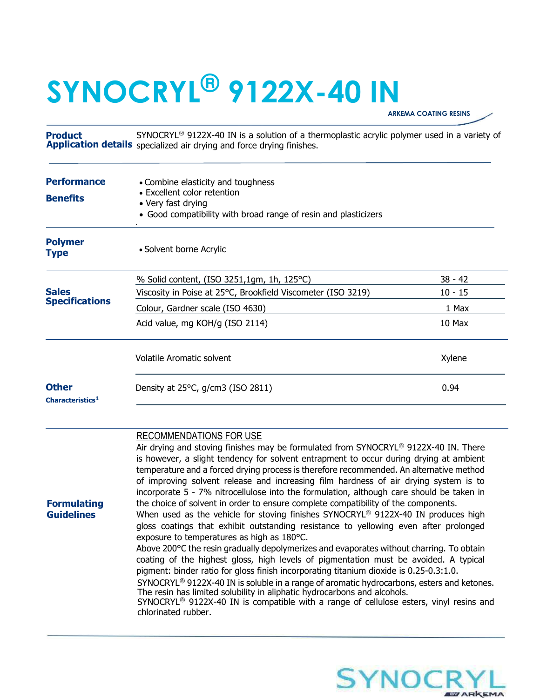## SYNOCRYL® 9122X-40 IN

ARKEMA COATING RESINS

Product Application details specialized air drying and force drying finishes. SYNOCRYL<sup>®</sup> 9122X-40 IN is a solution of a thermoplastic acrylic polymer used in a variety of

| <b>Performance</b><br><b>Benefits</b>        | • Combine elasticity and toughness<br>• Excellent color retention<br>• Very fast drying<br>• Good compatibility with broad range of resin and plasticizers                                                                                                                                                                                                                                  |           |
|----------------------------------------------|---------------------------------------------------------------------------------------------------------------------------------------------------------------------------------------------------------------------------------------------------------------------------------------------------------------------------------------------------------------------------------------------|-----------|
| <b>Polymer</b><br><b>Type</b>                | • Solvent borne Acrylic                                                                                                                                                                                                                                                                                                                                                                     |           |
| <b>Sales</b><br><b>Specifications</b>        | % Solid content, (ISO 3251,1gm, 1h, 125 °C)                                                                                                                                                                                                                                                                                                                                                 | $38 - 42$ |
|                                              | Viscosity in Poise at 25°C, Brookfield Viscometer (ISO 3219)                                                                                                                                                                                                                                                                                                                                | $10 - 15$ |
|                                              | Colour, Gardner scale (ISO 4630)                                                                                                                                                                                                                                                                                                                                                            | 1 Max     |
|                                              | Acid value, mg KOH/g (ISO 2114)                                                                                                                                                                                                                                                                                                                                                             | 10 Max    |
|                                              | <b>Volatile Aromatic solvent</b>                                                                                                                                                                                                                                                                                                                                                            | Xylene    |
| <b>Other</b><br>Characteristics <sup>1</sup> | Density at 25°C, g/cm3 (ISO 2811)                                                                                                                                                                                                                                                                                                                                                           | 0.94      |
|                                              | RECOMMENDATIONS FOR USE<br>Air drying and stoving finishes may be formulated from SYNOCRYL® 9122X-40 IN. There<br>is however, a slight tendency for solvent entrapment to occur during drying at ambient<br>temperature and a forced drying process is therefore recommended. An alternative method<br>of improving solvent release and increasing film hardness of air drying system is to |           |

Formulating **Guidelines** 

When used as the vehicle for stoving finishes  $SYNOCRYL^@9122X-40$  IN produces high gloss coatings that exhibit outstanding resistance to yellowing even after prolonged exposure to temperatures as high as 180°C.

the choice of solvent in order to ensure complete compatibility of the components.

Above 200°C the resin gradually depolymerizes and evaporates without charring. To obtain coating of the highest gloss, high levels of pigmentation must be avoided. A typical pigment: binder ratio for gloss finish incorporating titanium dioxide is 0.25-0.3:1.0.

incorporate 5 - 7% nitrocellulose into the formulation, although care should be taken in

SYNOCRYL<sup>®</sup> 9122X-40 IN is soluble in a range of aromatic hydrocarbons, esters and ketones. The resin has limited solubility in aliphatic hydrocarbons and alcohols.

SYNOCRYL® 9122X-40 IN is compatible with a range of cellulose esters, vinyl resins and chlorinated rubber.